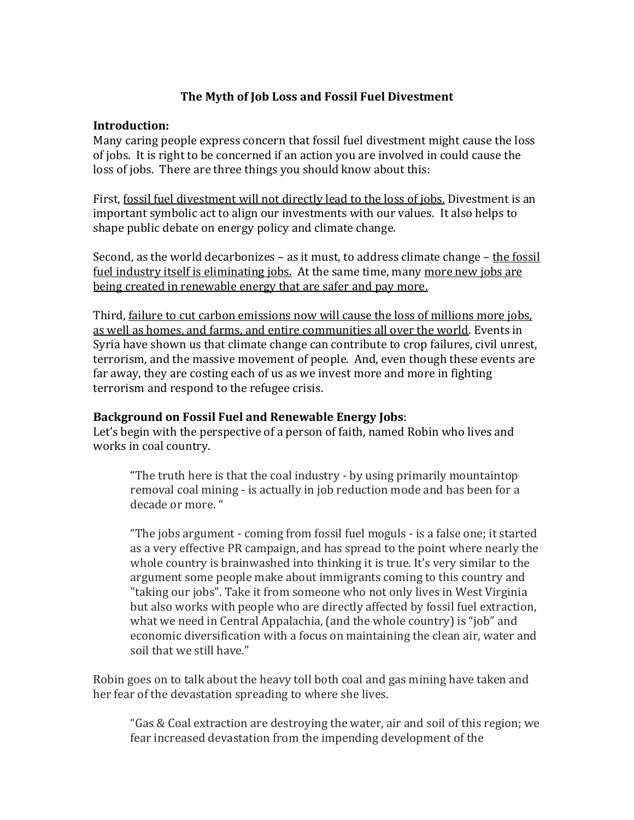## **The Myth of Job Loss and Fossil Fuel Divestment**

## **Introduction:**

Many caring people express concern that fossil fuel divestment might cause the loss of jobs. It is right to be concerned if an action you are involved in could cause the loss of jobs. There are three things you should know about this:

First, fossil fuel divestment will not directly lead to the loss of jobs. Divestment is an important symbolic act to align our investments with our values. It also helps to shape public debate on energy policy and climate change.

Second, as the world decarbonizes – as it must, to address climate change – the fossil fuel industry itself is eliminating jobs. At the same time, many more new jobs are being created in renewable energy that are safer and pay more.

Third, failure to cut carbon emissions now will cause the loss of millions more jobs, as well as homes, and farms, and entire communities all over the world. Events in Syria have shown us that climate change can contribute to crop failures, civil unrest, terrorism, and the massive movement of people. And, even though these events are far away, they are costing each of us as we invest more and more in fighting terrorism and respond to the refugee crisis.

## **Background on Fossil Fuel and Renewable Energy Jobs**:

Let's begin with the perspective of a person of faith, named Robin who lives and works in coal country.

"The truth here is that the coal industry - by using primarily mountaintop removal coal mining - is actually in job reduction mode and has been for a decade or more. "

"The jobs argument - coming from fossil fuel moguls - is a false one; it started as a very effective PR campaign, and has spread to the point where nearly the whole country is brainwashed into thinking it is true. It's very similar to the argument some people make about immigrants coming to this country and "taking our jobs". Take it from someone who not only lives in West Virginia but also works with people who are directly affected by fossil fuel extraction, what we need in Central Appalachia, (and the whole country) is "job" and economic diversification with a focus on maintaining the clean air, water and soil that we still have."

Robin goes on to talk about the heavy toll both coal and gas mining have taken and her fear of the devastation spreading to where she lives.

"Gas & Coal extraction are destroying the water, air and soil of this region; we fear increased devastation from the impending development of the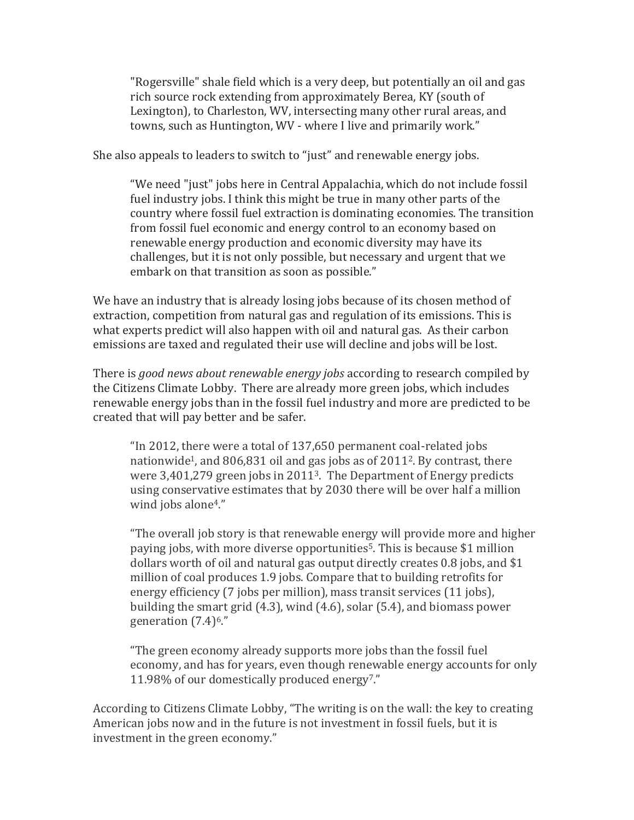"Rogersville" shale field which is a very deep, but potentially an oil and gas rich source rock extending from approximately Berea, KY (south of Lexington), to Charleston, WV, intersecting many other rural areas, and towns, such as Huntington, WV - where I live and primarily work."

She also appeals to leaders to switch to "just" and renewable energy jobs.

"We need "just" jobs here in Central Appalachia, which do not include fossil fuel industry jobs. I think this might be true in many other parts of the country where fossil fuel extraction is dominating economies. The transition from fossil fuel economic and energy control to an economy based on renewable energy production and economic diversity may have its challenges, but it is not only possible, but necessary and urgent that we embark on that transition as soon as possible."

We have an industry that is already losing jobs because of its chosen method of extraction, competition from natural gas and regulation of its emissions. This is what experts predict will also happen with oil and natural gas. As their carbon emissions are taxed and regulated their use will decline and jobs will be lost.

There is *good news about renewable energy jobs* according to research compiled by the Citizens Climate Lobby. There are already more green jobs, which includes renewable energy jobs than in the fossil fuel industry and more are predicted to be created that will pay better and be safer.

"In 2012, there were a total of 137,650 permanent coal-related jobs nationwide<sup>1</sup>, and 806,831 oil and gas jobs as of  $2011^2$ . By contrast, there were 3,401,279 green jobs in 20113. The Department of Energy predicts using conservative estimates that by 2030 there will be over half a million wind jobs alone<sup>4</sup>."

"The overall job story is that renewable energy will provide more and higher paying jobs, with more diverse opportunities<sup>5</sup>. This is because \$1 million dollars worth of oil and natural gas output directly creates 0.8 jobs, and \$1 million of coal produces 1.9 jobs. Compare that to building retrofits for energy efficiency (7 jobs per million), mass transit services (11 jobs), building the smart grid (4.3), wind (4.6), solar (5.4), and biomass power generation (7.4)6."

"The green economy already supports more jobs than the fossil fuel economy, and has for years, even though renewable energy accounts for only 11.98% of our domestically produced energy7."

According to Citizens Climate Lobby, "The writing is on the wall: the key to creating American jobs now and in the future is not investment in fossil fuels, but it is investment in the green economy."